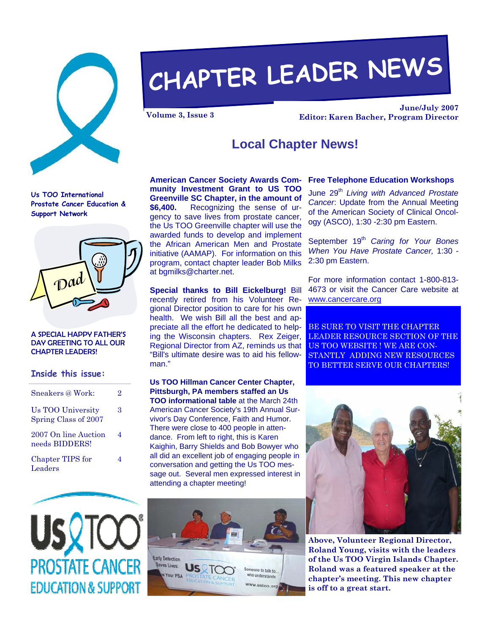

# **CHAPTER LEADER NEWS**

**June/July 2007 Volume 3, Issue 3 Editor: Karen Bacher, Program Director** 

### **Local Chapter News!**

**Us TOO International Prostate Cancer Education & Support Network** 



#### A SPECIAL HAPPY FATHER'S DAY GREETING TO ALL OUR CHAPTER LEADERS!

#### **Inside this issue:**

| Sneakers @ Work:                          | 9. |
|-------------------------------------------|----|
| Us TOO University<br>Spring Class of 2007 | 3  |
| 2007 On line Auction<br>needs BIDDERS!    | 4  |
| Chapter TIPS for<br>Leaders               |    |



**Special thanks to Bill Eickelburg!** Bill recently retired from his Volunteer Regional Director position to care for his own health. We wish Bill all the best and appreciate all the effort he dedicated to helping the Wisconsin chapters. Rex Zeiger, Regional Director from AZ, reminds us that "Bill's ultimate desire was to aid his fellowman."

**Us TOO Hillman Cancer Center Chapter, Pittsburgh, PA members staffed an Us TOO informational table** at the March 24th American Cancer Society's 19th Annual Survivor's Day Conference, Faith and Humor. There were close to 400 people in attendance. From left to right, this is Karen Kaighin, Barry Shields and Bob Bowyer who all did an excellent job of engaging people in conversation and getting the Us TOO message out. Several men expressed interest in attending a chapter meeting!



#### **American Cancer Society Awards Com-Free Telephone Education Workshops**

June 29<sup>th</sup> Living with Advanced Prostate *Cancer*: Update from the Annual Meeting of the American Society of Clinical Oncology (ASCO), 1:30 -2:30 pm Eastern.

September 19<sup>th</sup> Caring for Your Bones *When You Have Prostate Cancer,* 1:30 - 2:30 pm Eastern.

For more information contact 1-800-813- 4673 or visit the Cancer Care website at www.cancercare.org

BE SURE TO VISIT THE CHAPTER LEADER RESOURCE SECTION OF THE US TOO WEBSITE ! WE ARE CON-STANTLY ADDING NEW RESOURCES TO BETTER SERVE OUR CHAPTERS!



**Above, Volunteer Regional Director, Roland Young, visits with the leaders of the Us TOO Virgin Islands Chapter. Roland was a featured speaker at the chapter's meeting. This new chapter is off to a great start.** 

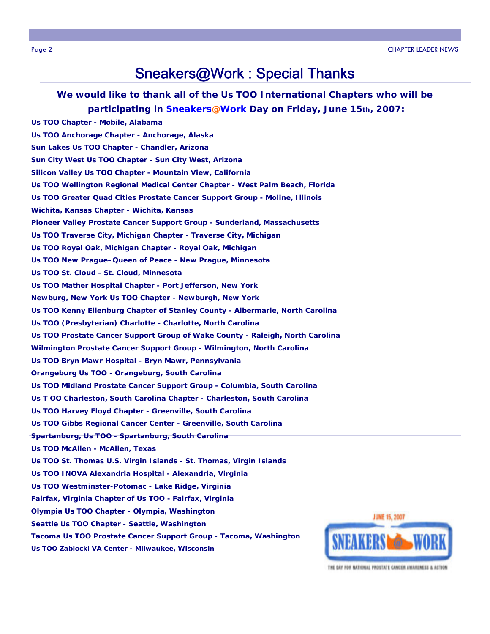## Sneakers@Work : Special Thanks

**We would like to thank all of the Us TOO International Chapters who will be participating in Sneakers@Work Day on Friday, June 15th, 2007: Us TOO Chapter - Mobile, Alabama** 

**Us TOO Anchorage Chapter - Anchorage, Alaska Sun Lakes Us TOO Chapter - Chandler, Arizona Sun City West Us TOO Chapter - Sun City West, Arizona Silicon Valley Us TOO Chapter - Mountain View, California Us TOO Wellington Regional Medical Center Chapter - West Palm Beach, Florida Us TOO Greater Quad Cities Prostate Cancer Support Group - Moline, Illinois Wichita, Kansas Chapter - Wichita, Kansas Pioneer Valley Prostate Cancer Support Group - Sunderland, Massachusetts Us TOO Traverse City, Michigan Chapter - Traverse City, Michigan Us TOO Royal Oak, Michigan Chapter - Royal Oak, Michigan Us TOO New Prague–Queen of Peace - New Prague, Minnesota Us TOO St. Cloud - St. Cloud, Minnesota Us TOO Mather Hospital Chapter - Port Jefferson, New York Newburg, New York Us TOO Chapter - Newburgh, New York Us TOO Kenny Ellenburg Chapter of Stanley County - Albermarle, North Carolina Us TOO (Presbyterian) Charlotte - Charlotte, North Carolina Us TOO Prostate Cancer Support Group of Wake County - Raleigh, North Carolina Wilmington Prostate Cancer Support Group - Wilmington, North Carolina Us TOO Bryn Mawr Hospital - Bryn Mawr, Pennsylvania Orangeburg Us TOO - Orangeburg, South Carolina Us TOO Midland Prostate Cancer Support Group - Columbia, South Carolina Us T OO Charleston, South Carolina Chapter - Charleston, South Carolina Us TOO Harvey Floyd Chapter - Greenville, South Carolina Us TOO Gibbs Regional Cancer Center - Greenville, South Carolina Spartanburg, Us TOO - Spartanburg, South Carolina Us TOO McAllen - McAllen, Texas Us TOO St. Thomas U.S. Virgin Islands - St. Thomas, Virgin Islands Us TOO INOVA Alexandria Hospital - Alexandria, Virginia Us TOO Westminster-Potomac - Lake Ridge, Virginia Fairfax, Virginia Chapter of Us TOO - Fairfax, Virginia Olympia Us TOO Chapter - Olympia, Washington Seattle Us TOO Chapter - Seattle, Washington Tacoma Us TOO Prostate Cancer Support Group - Tacoma, Washington Us TOO Zablocki VA Center - Milwaukee, Wisconsin**



THE DAY FOR NATIONAL PROSTATE CANCER AWARENESS & ACTION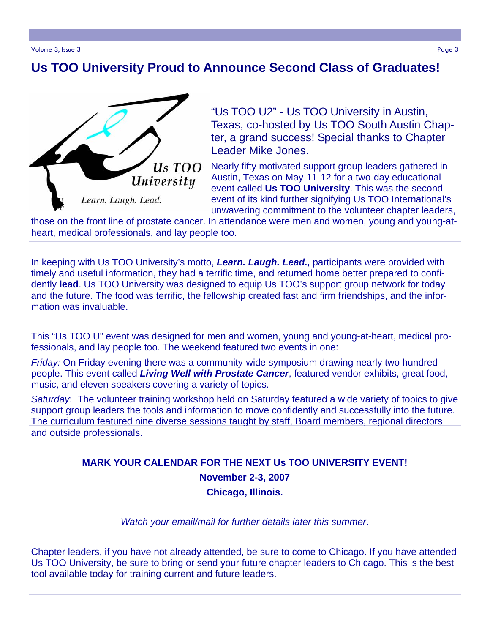# **Us TOO University Proud to Announce Second Class of Graduates!**



"Us TOO U2" - Us TOO University in Austin, Texas, co-hosted by Us TOO South Austin Chapter, a grand success! Special thanks to Chapter Leader Mike Jones.

Nearly fifty motivated support group leaders gathered in Austin, Texas on May-11-12 for a two-day educational event called **Us TOO University**. This was the second event of its kind further signifying Us TOO International's unwavering commitment to the volunteer chapter leaders,

those on the front line of prostate cancer. In attendance were men and women, young and young-atheart, medical professionals, and lay people too.

In keeping with Us TOO University's motto, *Learn. Laugh. Lead.,* participants were provided with timely and useful information, they had a terrific time, and returned home better prepared to confidently **lead**. Us TOO University was designed to equip Us TOO's support group network for today and the future. The food was terrific, the fellowship created fast and firm friendships, and the information was invaluable.

This "Us TOO U" event was designed for men and women, young and young-at-heart, medical professionals, and lay people too. The weekend featured two events in one:

*Friday:* On Friday evening there was a community-wide symposium drawing nearly two hundred people. This event called *Living Well with Prostate Cancer*, featured vendor exhibits, great food, music, and eleven speakers covering a variety of topics.

*Saturday*: The volunteer training workshop held on Saturday featured a wide variety of topics to give support group leaders the tools and information to move confidently and successfully into the future. The curriculum featured nine diverse sessions taught by staff, Board members, regional directors and outside professionals.

#### **MARK YOUR CALENDAR FOR THE NEXT Us TOO UNIVERSITY EVENT! November 2-3, 2007 Chicago, Illinois.**

*Watch your email/mail for further details later this summer*.

Chapter leaders, if you have not already attended, be sure to come to Chicago. If you have attended Us TOO University, be sure to bring or send your future chapter leaders to Chicago. This is the best tool available today for training current and future leaders.